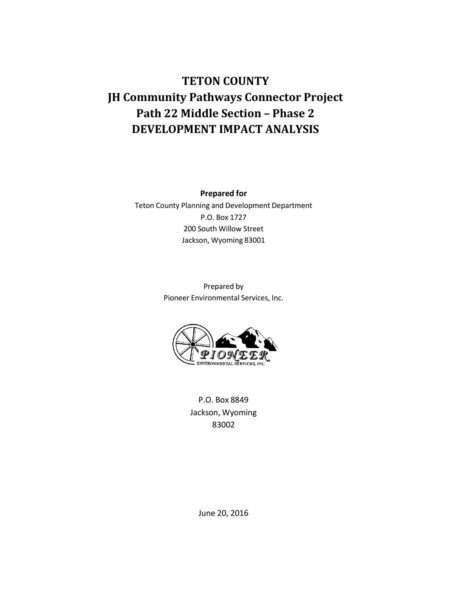# **TETON COUNTY JH Community Pathways Connector Project Path 22 Middle Section – Phase 2 DEVELOPMENT IMPACT ANALYSIS**

**Prepared for** Teton County Planning and Development Department P.O. Box 1727 200 South Willow Street Jackson, Wyoming 83001

> Prepared by Pioneer Environmental Services, Inc.



P.O. Box 8849 Jackson, Wyoming 83002

June 20, 2016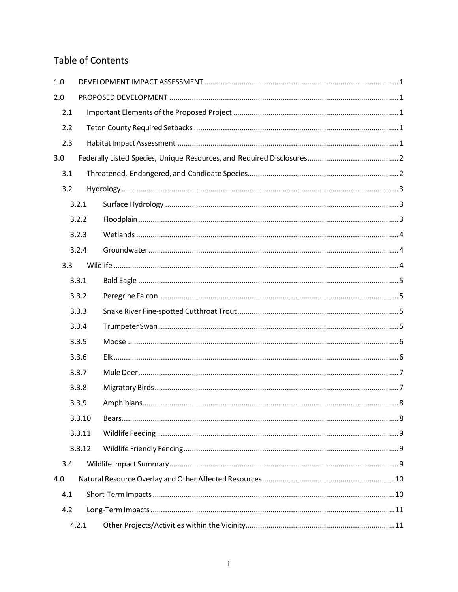# Table of Contents

| 1.0 |        |  |
|-----|--------|--|
| 2.0 |        |  |
| 2.1 |        |  |
| 2.2 |        |  |
| 2.3 |        |  |
| 3.0 |        |  |
| 3.1 |        |  |
| 3.2 |        |  |
|     | 3.2.1  |  |
|     | 3.2.2  |  |
|     | 3.2.3  |  |
|     | 3.2.4  |  |
| 3.3 |        |  |
|     | 3.3.1  |  |
|     | 3.3.2  |  |
|     | 3.3.3  |  |
|     | 3.3.4  |  |
|     | 3.3.5  |  |
|     | 3.3.6  |  |
|     | 3.3.7  |  |
|     | 3.3.8  |  |
|     | 3.3.9  |  |
|     | 3.3.10 |  |
|     | 3.3.11 |  |
|     | 3.3.12 |  |
| 3.4 |        |  |
| 4.0 |        |  |
| 4.1 |        |  |
| 4.2 |        |  |
|     | 4.2.1  |  |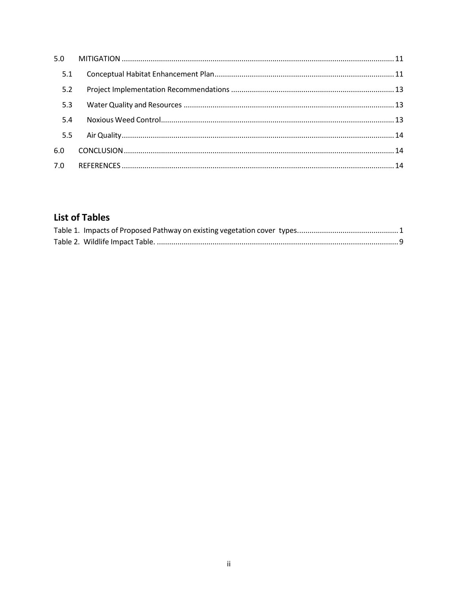| 5.1 |  |
|-----|--|
| 5.2 |  |
| 5.3 |  |
| 5.4 |  |
| 5.5 |  |
| 6.0 |  |
| 7.0 |  |

# **List of Tables**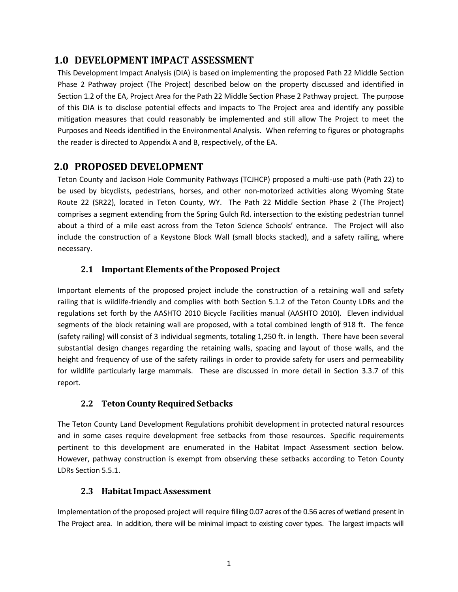# <span id="page-3-0"></span>**1.0 DEVELOPMENT IMPACT ASSESSMENT**

This Development Impact Analysis (DIA) is based on implementing the proposed Path 22 Middle Section Phase 2 Pathway project (The Project) described below on the property discussed and identified in Section 1.2 of the EA, Project Area for the Path 22 Middle Section Phase 2 Pathway project. The purpose of this DIA is to disclose potential effects and impacts to The Project area and identify any possible mitigation measures that could reasonably be implemented and still allow The Project to meet the Purposes and Needs identified in the Environmental Analysis. When referring to figures or photographs the reader is directed to Appendix A and B, respectively, of the EA.

## <span id="page-3-1"></span>**2.0 PROPOSED DEVELOPMENT**

Teton County and Jackson Hole Community Pathways (TCJHCP) proposed a multi-use path (Path 22) to be used by bicyclists, pedestrians, horses, and other non-motorized activities along Wyoming State Route 22 (SR22), located in Teton County, WY. The Path 22 Middle Section Phase 2 (The Project) comprises a segment extending from the Spring Gulch Rd. intersection to the existing pedestrian tunnel about a third of a mile east across from the Teton Science Schools' entrance. The Project will also include the construction of a Keystone Block Wall (small blocks stacked), and a safety railing, where necessary.

#### <span id="page-3-2"></span>**2.1 Important Elements of the Proposed Project**

Important elements of the proposed project include the construction of a retaining wall and safety railing that is wildlife-friendly and complies with both Section 5.1.2 of the Teton County LDRs and the regulations set forth by the AASHTO 2010 Bicycle Facilities manual (AASHTO 2010). Eleven individual segments of the block retaining wall are proposed, with a total combined length of 918 ft. The fence (safety railing) will consist of 3 individual segments, totaling 1,250 ft. in length. There have been several substantial design changes regarding the retaining walls, spacing and layout of those walls, and the height and frequency of use of the safety railings in order to provide safety for users and permeability for wildlife particularly large mammals. These are discussed in more detail in Section 3.3.7 of this report.

#### <span id="page-3-3"></span>**2.2 Teton County Required Setbacks**

The Teton County Land Development Regulations prohibit development in protected natural resources and in some cases require development free setbacks from those resources. Specific requirements pertinent to this development are enumerated in the Habitat Impact Assessment section below. However, pathway construction is exempt from observing these setbacks according to Teton County LDRs Section 5.5.1.

#### <span id="page-3-4"></span>**2.3 HabitatImpactAssessment**

Implementation of the proposed project will require filling 0.07 acres of the 0.56 acres of wetland present in The Project area. In addition, there will be minimal impact to existing cover types. The largest impacts will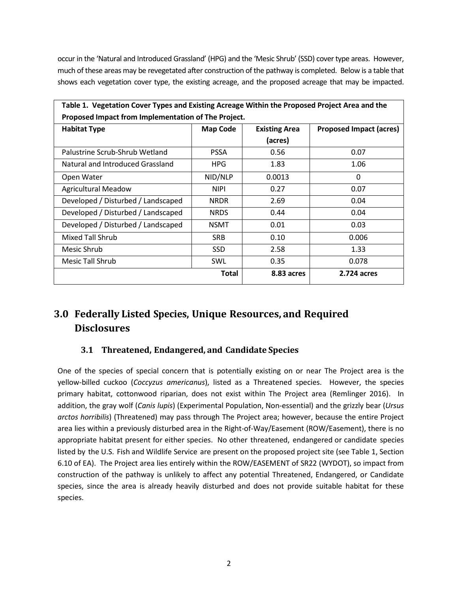occur in the 'Natural and Introduced Grassland' (HPG) and the 'Mesic Shrub' (SSD) cover type areas. However, much of these areas may be revegetated after construction of the pathway is completed. Below is a table that shows each vegetation cover type, the existing acreage, and the proposed acreage that may be impacted.

| $\frac{1}{2}$ . The contract of the contraction of the complete $\frac{1}{2}$ . The complete $\frac{1}{2}$ is the contract of the contraction of the contract of the contraction of the contract of the contract of the contract of the c<br>Proposed Impact from Implementation of The Project. |                 |                      |                                |  |
|--------------------------------------------------------------------------------------------------------------------------------------------------------------------------------------------------------------------------------------------------------------------------------------------------|-----------------|----------------------|--------------------------------|--|
| <b>Habitat Type</b>                                                                                                                                                                                                                                                                              | <b>Map Code</b> | <b>Existing Area</b> | <b>Proposed Impact (acres)</b> |  |
|                                                                                                                                                                                                                                                                                                  |                 | (acres)              |                                |  |
| Palustrine Scrub-Shrub Wetland                                                                                                                                                                                                                                                                   | <b>PSSA</b>     | 0.56                 | 0.07                           |  |
| Natural and Introduced Grassland                                                                                                                                                                                                                                                                 | <b>HPG</b>      | 1.83                 | 1.06                           |  |
| Open Water                                                                                                                                                                                                                                                                                       | NID/NLP         | 0.0013               | 0                              |  |
| <b>Agricultural Meadow</b>                                                                                                                                                                                                                                                                       | <b>NIPI</b>     | 0.27                 | 0.07                           |  |
| Developed / Disturbed / Landscaped                                                                                                                                                                                                                                                               | <b>NRDR</b>     | 2.69                 | 0.04                           |  |
| Developed / Disturbed / Landscaped                                                                                                                                                                                                                                                               | <b>NRDS</b>     | 0.44                 | 0.04                           |  |
| Developed / Disturbed / Landscaped                                                                                                                                                                                                                                                               | <b>NSMT</b>     | 0.01                 | 0.03                           |  |
| Mixed Tall Shrub                                                                                                                                                                                                                                                                                 | <b>SRB</b>      | 0.10                 | 0.006                          |  |
| Mesic Shrub                                                                                                                                                                                                                                                                                      | <b>SSD</b>      | 2.58                 | 1.33                           |  |
| Mesic Tall Shrub                                                                                                                                                                                                                                                                                 | SWL             | 0.35                 | 0.078                          |  |
|                                                                                                                                                                                                                                                                                                  | <b>Total</b>    | 8.83 acres           | 2.724 acres                    |  |

# **Table 1. Vegetation Cover Types and Existing Acreage Within the Proposed Project Area and the**

# <span id="page-4-1"></span><span id="page-4-0"></span>**3.0 Federally Listed Species, Unique Resources, and Required Disclosures**

#### **3.1 Threatened, Endangered, and Candidate Species**

One of the species of special concern that is potentially existing on or near The Project area is the yellow-billed cuckoo (*Coccyzus americanus*), listed as a Threatened species. However, the species primary habitat, cottonwood riparian, does not exist within The Project area (Remlinger 2016). In addition, the gray wolf (*Canis lupis*) (Experimental Population, Non-essential) and the grizzly bear (*Ursus arctos horribilis*) (Threatened) may pass through The Project area; however, because the entire Project area lies within a previously disturbed area in the Right-of-Way/Easement (ROW/Easement), there is no appropriate habitat present for either species. No other threatened, endangered or candidate species listed by the U.S. Fish and Wildlife Service are present on the proposed project site (see Table 1, Section 6.10 of EA). The Project area lies entirely within the ROW/EASEMENT of SR22 (WYDOT), so impact from construction of the pathway is unlikely to affect any potential Threatened, Endangered, or Candidate species, since the area is already heavily disturbed and does not provide suitable habitat for these species.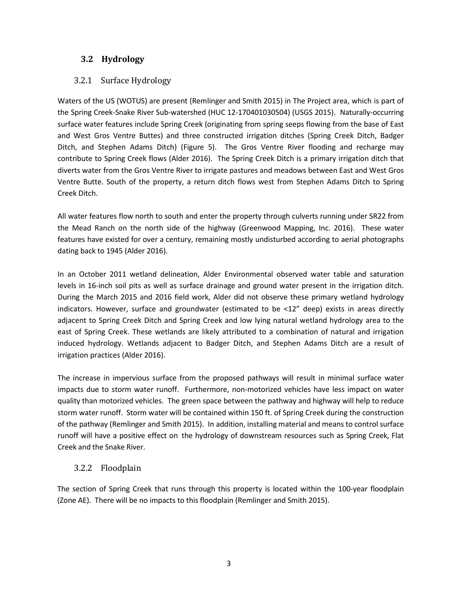#### <span id="page-5-0"></span>**3.2 Hydrology**

#### <span id="page-5-1"></span>3.2.1 Surface Hydrology

Waters of the US (WOTUS) are present (Remlinger and Smith 2015) in The Project area, which is part of the Spring Creek-Snake River Sub-watershed (HUC 12-170401030504) (USGS 2015). Naturally-occurring surface water features include Spring Creek (originating from spring seeps flowing from the base of East and West Gros Ventre Buttes) and three constructed irrigation ditches (Spring Creek Ditch, Badger Ditch, and Stephen Adams Ditch) (Figure 5). The Gros Ventre River flooding and recharge may contribute to Spring Creek flows (Alder 2016). The Spring Creek Ditch is a primary irrigation ditch that diverts water from the Gros Ventre River to irrigate pastures and meadows between East and West Gros Ventre Butte. South of the property, a return ditch flows west from Stephen Adams Ditch to Spring Creek Ditch.

All water features flow north to south and enter the property through culverts running under SR22 from the Mead Ranch on the north side of the highway (Greenwood Mapping, Inc. 2016). These water features have existed for over a century, remaining mostly undisturbed according to aerial photographs dating back to 1945 (Alder 2016).

In an October 2011 wetland delineation, Alder Environmental observed water table and saturation levels in 16-inch soil pits as well as surface drainage and ground water present in the irrigation ditch. During the March 2015 and 2016 field work, Alder did not observe these primary wetland hydrology indicators. However, surface and groundwater (estimated to be <12" deep) exists in areas directly adjacent to Spring Creek Ditch and Spring Creek and low lying natural wetland hydrology area to the east of Spring Creek. These wetlands are likely attributed to a combination of natural and irrigation induced hydrology. Wetlands adjacent to Badger Ditch, and Stephen Adams Ditch are a result of irrigation practices (Alder 2016).

The increase in impervious surface from the proposed pathways will result in minimal surface water impacts due to storm water runoff. Furthermore, non-motorized vehicles have less impact on water quality than motorized vehicles. The green space between the pathway and highway will help to reduce storm water runoff. Storm water will be contained within 150 ft. of Spring Creek during the construction of the pathway (Remlinger and Smith 2015). In addition, installing material and means to controlsurface runoff will have a positive effect on the hydrology of downstream resources such as Spring Creek, Flat Creek and the Snake River.

#### <span id="page-5-2"></span>3.2.2 Floodplain

The section of Spring Creek that runs through this property is located within the 100-year floodplain (Zone AE). There will be no impacts to this floodplain (Remlinger and Smith 2015).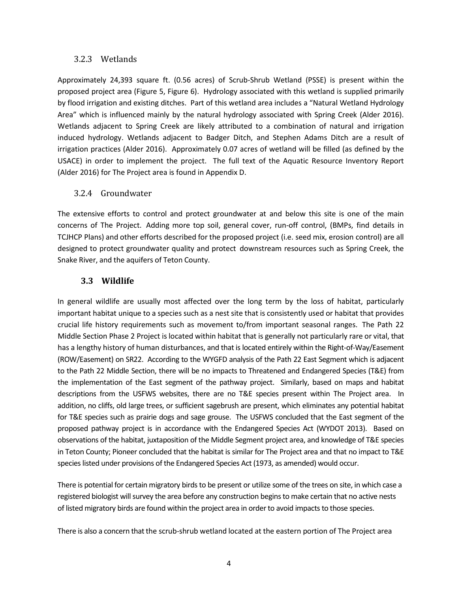#### <span id="page-6-0"></span>3.2.3 Wetlands

Approximately 24,393 square ft. (0.56 acres) of Scrub-Shrub Wetland (PSSE) is present within the proposed project area (Figure 5, Figure 6). Hydrology associated with this wetland is supplied primarily by flood irrigation and existing ditches. Part of this wetland area includes a "Natural Wetland Hydrology Area" which is influenced mainly by the natural hydrology associated with Spring Creek (Alder 2016). Wetlands adjacent to Spring Creek are likely attributed to a combination of natural and irrigation induced hydrology. Wetlands adjacent to Badger Ditch, and Stephen Adams Ditch are a result of irrigation practices (Alder 2016). Approximately 0.07 acres of wetland will be filled (as defined by the USACE) in order to implement the project. The full text of the Aquatic Resource Inventory Report (Alder 2016) for The Project area is found in Appendix D.

#### <span id="page-6-1"></span>3.2.4 Groundwater

The extensive efforts to control and protect groundwater at and below this site is one of the main concerns of The Project. Adding more top soil, general cover, run-off control, (BMPs, find details in TCJHCP Plans) and other efforts described for the proposed project (i.e. seed mix, erosion control) are all designed to protect groundwater quality and protect downstream resources such as Spring Creek, the Snake River, and the aquifers of Teton County.

#### <span id="page-6-2"></span>**3.3 Wildlife**

In general wildlife are usually most affected over the long term by the loss of habitat, particularly important habitat unique to a species such as a nest site that is consistently used or habitat that provides crucial life history requirements such as movement to/from important seasonal ranges. The Path 22 Middle Section Phase 2 Project is located within habitat that is generally not particularly rare or vital, that has a lengthy history of human disturbances, and that is located entirely within the Right-of-Way/Easement (ROW/Easement) on SR22. According to the WYGFD analysis of the Path 22 East Segment which is adjacent to the Path 22 Middle Section, there will be no impacts to Threatened and Endangered Species (T&E) from the implementation of the East segment of the pathway project. Similarly, based on maps and habitat descriptions from the USFWS websites, there are no T&E species present within The Project area. In addition, no cliffs, old large trees, or sufficient sagebrush are present, which eliminates any potential habitat for T&E species such as prairie dogs and sage grouse. The USFWS concluded that the East segment of the proposed pathway project is in accordance with the Endangered Species Act (WYDOT 2013). Based on observations of the habitat, juxtaposition of the Middle Segment project area, and knowledge of T&E species in Teton County; Pioneer concluded that the habitat is similar for The Project area and that no impact to T&E species listed under provisions of the Endangered Species Act (1973, as amended) would occur.

There is potential for certain migratory birds to be present or utilize some of the trees on site, in which case a registered biologist will survey the area before any construction begins to make certain that no active nests of listed migratory birds are found within the project area in order to avoid impacts to those species.

There is also a concern that the scrub-shrub wetland located at the eastern portion of The Project area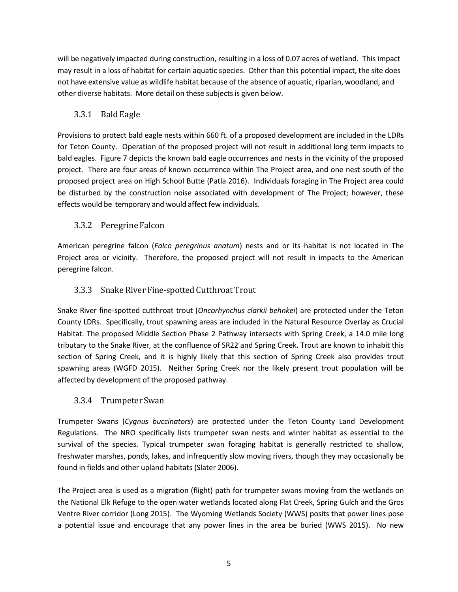will be negatively impacted during construction, resulting in a loss of 0.07 acres of wetland. This impact may result in a loss of habitat for certain aquatic species. Other than this potential impact, the site does not have extensive value as wildlife habitat because of the absence of aquatic, riparian, woodland, and other diverse habitats. More detail on these subjects is given below.

#### <span id="page-7-0"></span>3.3.1 Bald Eagle

Provisions to protect bald eagle nests within 660 ft. of a proposed development are included in the LDRs for Teton County. Operation of the proposed project will not result in additional long term impacts to bald eagles. Figure 7 depicts the known bald eagle occurrences and nests in the vicinity of the proposed project. There are four areas of known occurrence within The Project area, and one nest south of the proposed project area on High School Butte (Patla 2016). Individuals foraging in The Project area could be disturbed by the construction noise associated with development of The Project; however, these effects would be temporary and would affect few individuals.

#### <span id="page-7-1"></span>3.3.2 Peregrine Falcon

American peregrine falcon (*Falco peregrinus anatum*) nests and or its habitat is not located in The Project area or vicinity. Therefore, the proposed project will not result in impacts to the American peregrine falcon.

#### <span id="page-7-2"></span>3.3.3 Snake River Fine‐spotted Cutthroat Trout

Snake River fine-spotted cutthroat trout (*Oncorhynchus clarkii behnkei*) are protected under the Teton County LDRs. Specifically, trout spawning areas are included in the Natural Resource Overlay as Crucial Habitat. The proposed Middle Section Phase 2 Pathway intersects with Spring Creek, a 14.0 mile long tributary to the Snake River, at the confluence of SR22 and Spring Creek. Trout are known to inhabit this section of Spring Creek, and it is highly likely that this section of Spring Creek also provides trout spawning areas (WGFD 2015). Neither Spring Creek nor the likely present trout population will be affected by development of the proposed pathway.

#### <span id="page-7-3"></span>3.3.4 Trumpeter Swan

Trumpeter Swans (*Cygnus buccinators*) are protected under the Teton County Land Development Regulations. The NRO specifically lists trumpeter swan nests and winter habitat as essential to the survival of the species. Typical trumpeter swan foraging habitat is generally restricted to shallow, freshwater marshes, ponds, lakes, and infrequently slow moving rivers, though they may occasionally be found in fields and other upland habitats (Slater 2006).

The Project area is used as a migration (flight) path for trumpeter swans moving from the wetlands on the National Elk Refuge to the open water wetlands located along Flat Creek, Spring Gulch and the Gros Ventre River corridor (Long 2015). The Wyoming Wetlands Society (WWS) posits that power lines pose a potential issue and encourage that any power lines in the area be buried (WWS 2015). No new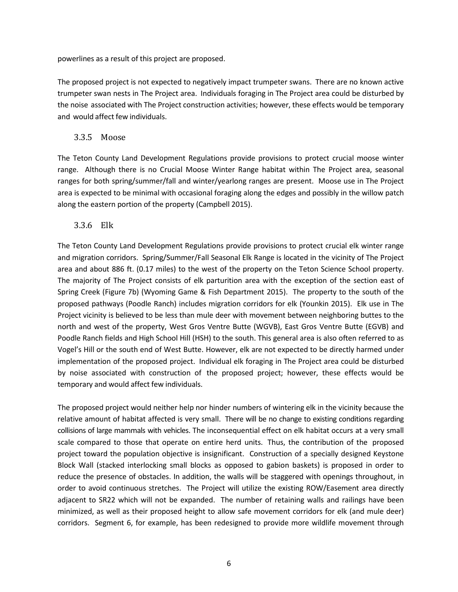powerlines as a result of this project are proposed.

The proposed project is not expected to negatively impact trumpeter swans. There are no known active trumpeter swan nests in The Project area. Individuals foraging in The Project area could be disturbed by the noise associated with The Project construction activities; however, these effects would be temporary and would affect few individuals.

#### <span id="page-8-0"></span>3.3.5 Moose

The Teton County Land Development Regulations provide provisions to protect crucial moose winter range. Although there is no Crucial Moose Winter Range habitat within The Project area, seasonal ranges for both spring/summer/fall and winter/yearlong ranges are present. Moose use in The Project area is expected to be minimal with occasional foraging along the edges and possibly in the willow patch along the eastern portion of the property (Campbell 2015).

#### <span id="page-8-1"></span>3.3.6 Elk

The Teton County Land Development Regulations provide provisions to protect crucial elk winter range and migration corridors. Spring/Summer/Fall Seasonal Elk Range is located in the vicinity of The Project area and about 886 ft. (0.17 miles) to the west of the property on the Teton Science School property. The majority of The Project consists of elk parturition area with the exception of the section east of Spring Creek (Figure 7b) (Wyoming Game & Fish Department 2015). The property to the south of the proposed pathways (Poodle Ranch) includes migration corridors for elk (Younkin 2015). Elk use in The Project vicinity is believed to be less than mule deer with movement between neighboring buttes to the north and west of the property, West Gros Ventre Butte (WGVB), East Gros Ventre Butte (EGVB) and Poodle Ranch fields and High School Hill (HSH) to the south. This general area is also often referred to as Vogel's Hill or the south end of West Butte. However, elk are not expected to be directly harmed under implementation of the proposed project. Individual elk foraging in The Project area could be disturbed by noise associated with construction of the proposed project; however, these effects would be temporary and would affect few individuals.

The proposed project would neither help nor hinder numbers of wintering elk in the vicinity because the relative amount of habitat affected is very small. There will be no change to existing conditions regarding collisions of large mammals with vehicles. The inconsequential effect on elk habitat occurs at a very small scale compared to those that operate on entire herd units. Thus, the contribution of the proposed project toward the population objective is insignificant. Construction of a specially designed Keystone Block Wall (stacked interlocking small blocks as opposed to gabion baskets) is proposed in order to reduce the presence of obstacles. In addition, the walls will be staggered with openings throughout, in order to avoid continuous stretches. The Project will utilize the existing ROW/Easement area directly adjacent to SR22 which will not be expanded. The number of retaining walls and railings have been minimized, as well as their proposed height to allow safe movement corridors for elk (and mule deer) corridors. Segment 6, for example, has been redesigned to provide more wildlife movement through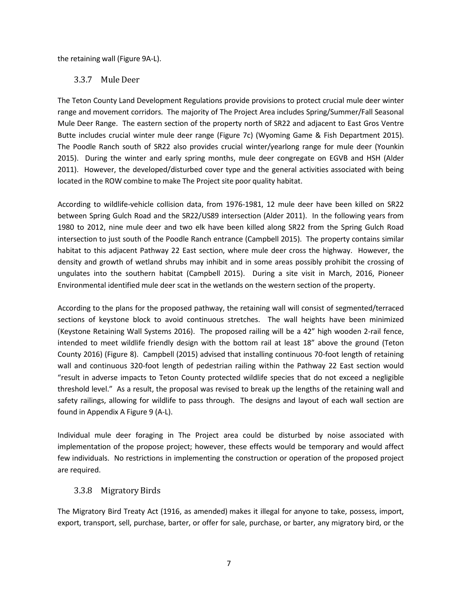<span id="page-9-0"></span>the retaining wall (Figure 9A-L).

#### 3.3.7 Mule Deer

The Teton County Land Development Regulations provide provisions to protect crucial mule deer winter range and movement corridors. The majority of The Project Area includes Spring/Summer/Fall Seasonal Mule Deer Range. The eastern section of the property north of SR22 and adjacent to East Gros Ventre Butte includes crucial winter mule deer range (Figure 7c) (Wyoming Game & Fish Department 2015). The Poodle Ranch south of SR22 also provides crucial winter/yearlong range for mule deer (Younkin 2015). During the winter and early spring months, mule deer congregate on EGVB and HSH (Alder 2011). However, the developed/disturbed cover type and the general activities associated with being located in the ROW combine to make The Project site poor quality habitat.

According to wildlife-vehicle collision data, from 1976-1981, 12 mule deer have been killed on SR22 between Spring Gulch Road and the SR22/US89 intersection (Alder 2011). In the following years from 1980 to 2012, nine mule deer and two elk have been killed along SR22 from the Spring Gulch Road intersection to just south of the Poodle Ranch entrance (Campbell 2015). The property contains similar habitat to this adjacent Pathway 22 East section, where mule deer cross the highway. However, the density and growth of wetland shrubs may inhibit and in some areas possibly prohibit the crossing of ungulates into the southern habitat (Campbell 2015). During a site visit in March, 2016, Pioneer Environmental identified mule deer scat in the wetlands on the western section of the property.

According to the plans for the proposed pathway, the retaining wall will consist of segmented/terraced sections of keystone block to avoid continuous stretches. The wall heights have been minimized (Keystone Retaining Wall Systems 2016). The proposed railing will be a 42" high wooden 2-rail fence, intended to meet wildlife friendly design with the bottom rail at least 18" above the ground (Teton County 2016) (Figure 8). Campbell (2015) advised that installing continuous 70-foot length of retaining wall and continuous 320-foot length of pedestrian railing within the Pathway 22 East section would "result in adverse impacts to Teton County protected wildlife species that do not exceed a negligible threshold level." As a result, the proposal was revised to break up the lengths of the retaining wall and safety railings, allowing for wildlife to pass through. The designs and layout of each wall section are found in Appendix A Figure 9 (A-L).

Individual mule deer foraging in The Project area could be disturbed by noise associated with implementation of the propose project; however, these effects would be temporary and would affect few individuals. No restrictions in implementing the construction or operation of the proposed project are required.

#### <span id="page-9-1"></span>3.3.8 MigratoryBirds

The Migratory Bird Treaty Act (1916, as amended) makes it illegal for anyone to take, possess, import, export, transport, sell, purchase, barter, or offer for sale, purchase, or barter, any migratory bird, or the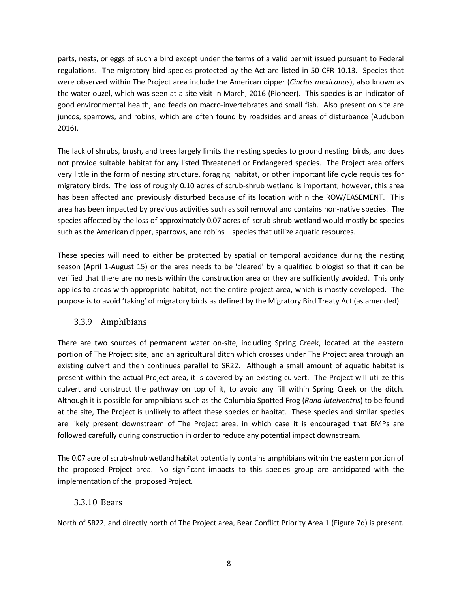parts, nests, or eggs of such a bird except under the terms of a valid permit issued pursuant to Federal regulations. The migratory bird species protected by the Act are listed in 50 CFR 10.13. Species that were observed within The Project area include the American dipper (*Cinclus mexicanus*), also known as the water ouzel, which was seen at a site visit in March, 2016 (Pioneer). This species is an indicator of good environmental health, and feeds on macro-invertebrates and small fish. Also present on site are juncos, sparrows, and robins, which are often found by roadsides and areas of disturbance (Audubon 2016).

The lack of shrubs, brush, and trees largely limits the nesting species to ground nesting birds, and does not provide suitable habitat for any listed Threatened or Endangered species. The Project area offers very little in the form of nesting structure, foraging habitat, or other important life cycle requisites for migratory birds. The loss of roughly 0.10 acres of scrub-shrub wetland is important; however, this area has been affected and previously disturbed because of its location within the ROW/EASEMENT. This area has been impacted by previous activities such as soil removal and contains non-native species. The species affected by the loss of approximately 0.07 acres of scrub-shrub wetland would mostly be species such as the American dipper, sparrows, and robins – species that utilize aquatic resources.

These species will need to either be protected by spatial or temporal avoidance during the nesting season (April 1-August 15) or the area needs to be 'cleared' by a qualified biologist so that it can be verified that there are no nests within the construction area or they are sufficiently avoided. This only applies to areas with appropriate habitat, not the entire project area, which is mostly developed. The purpose is to avoid 'taking' of migratory birds as defined by the Migratory Bird Treaty Act (as amended).

#### <span id="page-10-0"></span>3.3.9 Amphibians

There are two sources of permanent water on-site, including Spring Creek, located at the eastern portion of The Project site, and an agricultural ditch which crosses under The Project area through an existing culvert and then continues parallel to SR22. Although a small amount of aquatic habitat is present within the actual Project area, it is covered by an existing culvert. The Project will utilize this culvert and construct the pathway on top of it, to avoid any fill within Spring Creek or the ditch. Although it is possible for amphibians such as the Columbia Spotted Frog (*Rana luteiventris*) to be found at the site, The Project is unlikely to affect these species or habitat. These species and similar species are likely present downstream of The Project area, in which case it is encouraged that BMPs are followed carefully during construction in order to reduce any potential impact downstream.

The 0.07 acre of scrub-shrub wetland habitat potentially contains amphibians within the eastern portion of the proposed Project area. No significant impacts to this species group are anticipated with the implementation of the proposed Project.

#### <span id="page-10-1"></span>3.3.10 Bears

North of SR22, and directly north of The Project area, Bear Conflict Priority Area 1 (Figure 7d) is present.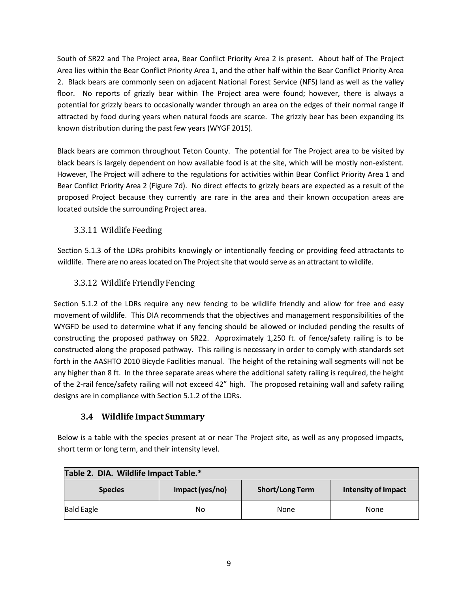South of SR22 and The Project area, Bear Conflict Priority Area 2 is present. About half of The Project Area lies within the Bear Conflict Priority Area 1, and the other half within the Bear Conflict Priority Area 2. Black bears are commonly seen on adjacent National Forest Service (NFS) land as well as the valley floor. No reports of grizzly bear within The Project area were found; however, there is always a potential for grizzly bears to occasionally wander through an area on the edges of their normal range if attracted by food during years when natural foods are scarce. The grizzly bear has been expanding its known distribution during the past few years (WYGF 2015).

Black bears are common throughout Teton County. The potential for The Project area to be visited by black bears is largely dependent on how available food is at the site, which will be mostly non-existent. However, The Project will adhere to the regulations for activities within Bear Conflict Priority Area 1 and Bear Conflict Priority Area 2 (Figure 7d). No direct effects to grizzly bears are expected as a result of the proposed Project because they currently are rare in the area and their known occupation areas are located outside the surrounding Project area.

#### <span id="page-11-0"></span>3.3.11 Wildlife Feeding

<span id="page-11-1"></span>Section 5.1.3 of the LDRs prohibits knowingly or intentionally feeding or providing feed attractants to wildlife. There are no areas located on The Project site that would serve as an attractant to wildlife.

#### 3.3.12 Wildlife Friendly Fencing

Section 5.1.2 of the LDRs require any new fencing to be wildlife friendly and allow for free and easy movement of wildlife. This DIA recommends that the objectives and management responsibilities of the WYGFD be used to determine what if any fencing should be allowed or included pending the results of constructing the proposed pathway on SR22. Approximately 1,250 ft. of fence/safety railing is to be constructed along the proposed pathway. This railing is necessary in order to comply with standards set forth in the AASHTO 2010 Bicycle Facilities manual. The height of the retaining wall segments will not be any higher than 8 ft. In the three separate areas where the additional safety railing is required, the height of the 2-rail fence/safety railing will not exceed 42" high. The proposed retaining wall and safety railing designs are in compliance with Section 5.1.2 of the LDRs.

#### <span id="page-11-2"></span>**3.4 Wildlife Impact Summary**

Below is a table with the species present at or near The Project site, as well as any proposed impacts, short term or long term, and their intensity level.

<span id="page-11-3"></span>

| Table 2. DIA. Wildlife Impact Table.* |                 |                        |                            |  |
|---------------------------------------|-----------------|------------------------|----------------------------|--|
| <b>Species</b>                        | Impact (yes/no) | <b>Short/Long Term</b> | <b>Intensity of Impact</b> |  |
| <b>Bald Eagle</b>                     | No              | None                   | <b>None</b>                |  |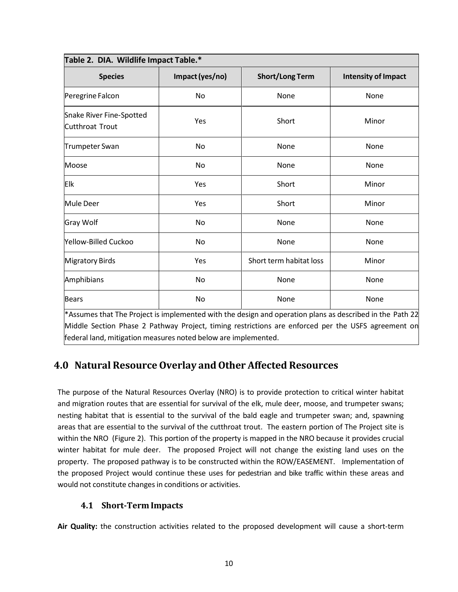| Table 2. DIA. Wildlife Impact Table.*                         |                 |                                                                                    |                                                  |  |
|---------------------------------------------------------------|-----------------|------------------------------------------------------------------------------------|--------------------------------------------------|--|
| <b>Species</b>                                                | Impact (yes/no) | <b>Short/Long Term</b>                                                             | <b>Intensity of Impact</b>                       |  |
| Peregrine Falcon                                              | No              | None                                                                               | None                                             |  |
| Snake River Fine-Spotted<br>Cutthroat Trout                   | Yes             | Short                                                                              | Minor                                            |  |
| Trumpeter Swan                                                | No              | None                                                                               | None                                             |  |
| Moose                                                         | No              | None                                                                               | None                                             |  |
| Elk                                                           | Yes             | Short                                                                              | Minor                                            |  |
| <b>Mule Deer</b>                                              | Yes             | Short                                                                              | Minor                                            |  |
| <b>Gray Wolf</b>                                              | No              | None                                                                               | None                                             |  |
| Yellow-Billed Cuckoo                                          | No              | None                                                                               | None                                             |  |
| Migratory Birds                                               | Yes             | Short term habitat loss                                                            | Minor                                            |  |
| Amphibians                                                    | <b>No</b>       | None                                                                               | None                                             |  |
| <b>Bears</b>                                                  | No              | None                                                                               | None                                             |  |
| $\star$ A $\sim$ $\sim$<br>a dhead The Davids at the taxalles |                 | والمستمرات والمتحاولة ويتمارك والمتوارث والمتحاولة والمتحالة والمقارنة والمتحاولات | الافتراطيم والمستقط والمستنقل والمستحدث والمستند |  |

\*Assumes that The Project is implemented with the design and operation plans as described in the Path 22 Middle Section Phase 2 Pathway Project, timing restrictions are enforced per the USFS agreement on federal land, mitigation measures noted below are implemented.

# <span id="page-12-0"></span>**4.0 Natural Resource Overlay andOther Affected Resources**

The purpose of the Natural Resources Overlay (NRO) is to provide protection to critical winter habitat and migration routes that are essential for survival of the elk, mule deer, moose, and trumpeter swans; nesting habitat that is essential to the survival of the bald eagle and trumpeter swan; and, spawning areas that are essential to the survival of the cutthroat trout. The eastern portion of The Project site is within the NRO (Figure 2). This portion of the property is mapped in the NRO because it provides crucial winter habitat for mule deer. The proposed Project will not change the existing land uses on the property. The proposed pathway is to be constructed within the ROW/EASEMENT. Implementation of the proposed Project would continue these uses for pedestrian and bike traffic within these areas and would not constitute changes in conditions or activities.

#### <span id="page-12-1"></span>**4.1 Short‐Term Impacts**

**Air Quality:** the construction activities related to the proposed development will cause a short‐term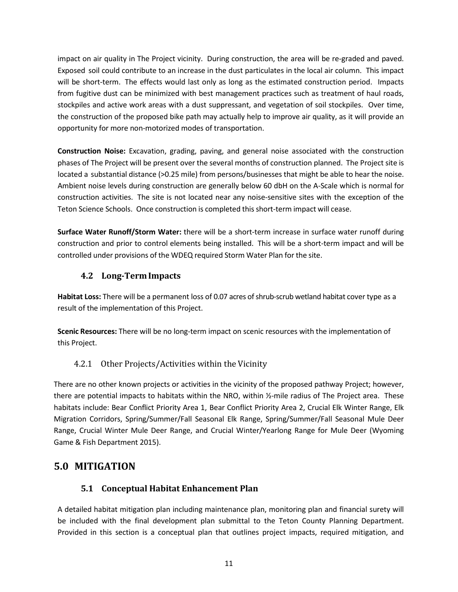impact on air quality in The Project vicinity. During construction, the area will be re‐graded and paved. Exposed soil could contribute to an increase in the dust particulates in the local air column. This impact will be short-term. The effects would last only as long as the estimated construction period. Impacts from fugitive dust can be minimized with best management practices such as treatment of haul roads, stockpiles and active work areas with a dust suppressant, and vegetation of soil stockpiles. Over time, the construction of the proposed bike path may actually help to improve air quality, as it will provide an opportunity for more non-motorized modes of transportation.

**Construction Noise:** Excavation, grading, paving, and general noise associated with the construction phases of The Project will be present over the several months of construction planned. The Project site is located a substantial distance (>0.25 mile) from persons/businesses that might be able to hear the noise. Ambient noise levels during construction are generally below 60 dbH on the A‐Scale which is normal for construction activities. The site is not located near any noise‐sensitive sites with the exception of the Teton Science Schools. Once construction is completed this short-term impact will cease.

**Surface Water Runoff/Storm Water:** there will be a short‐term increase in surface water runoff during construction and prior to control elements being installed. This will be a short-term impact and will be controlled under provisions of the WDEQ required Storm Water Plan for the site.

#### <span id="page-13-0"></span>**4.2 Long‐TermImpacts**

**Habitat Loss:** There will be a permanent loss of 0.07 acres of shrub-scrub wetland habitat cover type as a result of the implementation of this Project.

<span id="page-13-1"></span>**Scenic Resources:** There will be no long-term impact on scenic resources with the implementation of this Project.

#### 4.2.1 Other Projects/Activities within the Vicinity

There are no other known projects or activities in the vicinity of the proposed pathway Project; however, there are potential impacts to habitats within the NRO, within ½-mile radius of The Project area. These habitats include: Bear Conflict Priority Area 1, Bear Conflict Priority Area 2, Crucial Elk Winter Range, Elk Migration Corridors, Spring/Summer/Fall Seasonal Elk Range, Spring/Summer/Fall Seasonal Mule Deer Range, Crucial Winter Mule Deer Range, and Crucial Winter/Yearlong Range for Mule Deer (Wyoming Game & Fish Department 2015).

## <span id="page-13-3"></span><span id="page-13-2"></span>**5.0 MITIGATION**

#### **5.1 Conceptual Habitat Enhancement Plan**

A detailed habitat mitigation plan including maintenance plan, monitoring plan and financial surety will be included with the final development plan submittal to the Teton County Planning Department. Provided in this section is a conceptual plan that outlines project impacts, required mitigation, and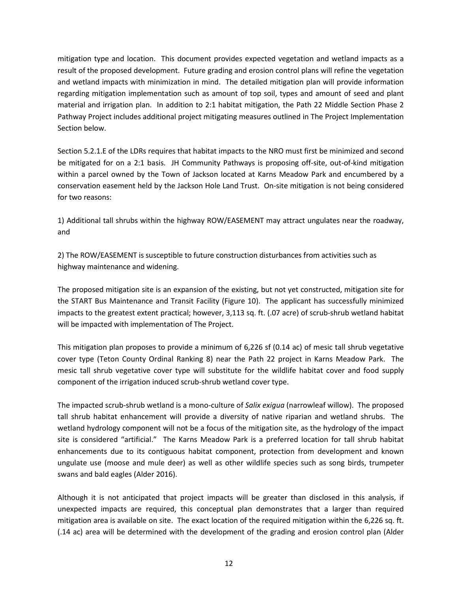mitigation type and location. This document provides expected vegetation and wetland impacts as a result of the proposed development. Future grading and erosion control plans will refine the vegetation and wetland impacts with minimization in mind. The detailed mitigation plan will provide information regarding mitigation implementation such as amount of top soil, types and amount of seed and plant material and irrigation plan. In addition to 2:1 habitat mitigation, the Path 22 Middle Section Phase 2 Pathway Project includes additional project mitigating measures outlined in The Project Implementation Section below.

Section 5.2.1.E of the LDRs requires that habitat impacts to the NRO must first be minimized and second be mitigated for on a 2:1 basis. JH Community Pathways is proposing off-site, out-of-kind mitigation within a parcel owned by the Town of Jackson located at Karns Meadow Park and encumbered by a conservation easement held by the Jackson Hole Land Trust. On-site mitigation is not being considered for two reasons:

1) Additional tall shrubs within the highway ROW/EASEMENT may attract ungulates near the roadway, and

2) The ROW/EASEMENT is susceptible to future construction disturbances from activities such as highway maintenance and widening.

The proposed mitigation site is an expansion of the existing, but not yet constructed, mitigation site for the START Bus Maintenance and Transit Facility (Figure 10). The applicant has successfully minimized impacts to the greatest extent practical; however, 3,113 sq. ft. (.07 acre) of scrub-shrub wetland habitat will be impacted with implementation of The Project.

This mitigation plan proposes to provide a minimum of 6,226 sf (0.14 ac) of mesic tall shrub vegetative cover type (Teton County Ordinal Ranking 8) near the Path 22 project in Karns Meadow Park. The mesic tall shrub vegetative cover type will substitute for the wildlife habitat cover and food supply component of the irrigation induced scrub-shrub wetland cover type.

The impacted scrub-shrub wetland is a mono-culture of *Salix exigua* (narrowleaf willow). The proposed tall shrub habitat enhancement will provide a diversity of native riparian and wetland shrubs. The wetland hydrology component will not be a focus of the mitigation site, as the hydrology of the impact site is considered "artificial." The Karns Meadow Park is a preferred location for tall shrub habitat enhancements due to its contiguous habitat component, protection from development and known ungulate use (moose and mule deer) as well as other wildlife species such as song birds, trumpeter swans and bald eagles (Alder 2016).

Although it is not anticipated that project impacts will be greater than disclosed in this analysis, if unexpected impacts are required, this conceptual plan demonstrates that a larger than required mitigation area is available on site. The exact location of the required mitigation within the 6,226 sq. ft. (.14 ac) area will be determined with the development of the grading and erosion control plan (Alder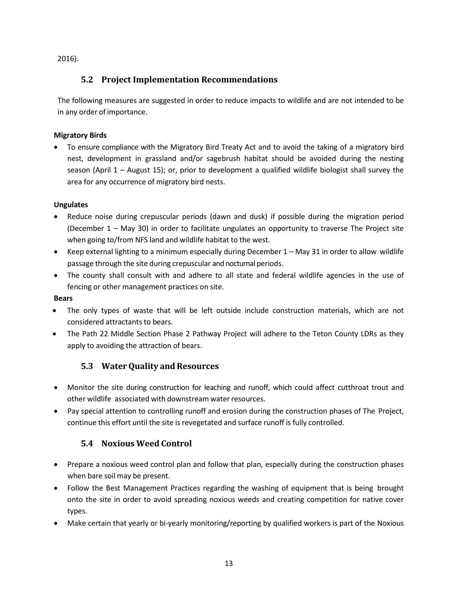<span id="page-15-0"></span>2016).

#### **5.2 Project Implementation Recommendations**

The following measures are suggested in order to reduce impacts to wildlife and are not intended to be in any order of importance.

#### **Migratory Birds**

• To ensure compliance with the Migratory Bird Treaty Act and to avoid the taking of a migratory bird nest, development in grassland and/or sagebrush habitat should be avoided during the nesting season (April 1 – August 15); or, prior to development a qualified wildlife biologist shall survey the area for any occurrence of migratory bird nests.

#### **Ungulates**

- Reduce noise during crepuscular periods (dawn and dusk) if possible during the migration period (December 1 – May 30) in order to facilitate ungulates an opportunity to traverse The Project site when going to/from NFS land and wildlife habitat to the west.
- Keep external lighting to a minimum especially during December 1 May 31 in order to allow wildlife passage through the site during crepuscular and nocturnal periods.
- The county shall consult with and adhere to all state and federal wildlife agencies in the use of fencing or other management practices on site.

#### **Bears**

- The only types of waste that will be left outside include construction materials, which are not considered attractants to bears.
- <span id="page-15-1"></span>• The Path 22 Middle Section Phase 2 Pathway Project will adhere to the Teton County LDRs as they apply to avoiding the attraction of bears.

#### **5.3 WaterQuality andResources**

- Monitor the site during construction for leaching and runoff, which could affect cutthroat trout and other wildlife associated with downstream water resources.
- <span id="page-15-2"></span>• Pay special attention to controlling runoff and erosion during the construction phases of The Project, continue this effort until the site is revegetated and surface runoff is fully controlled.

#### **5.4 Noxious Weed Control**

- Prepare a noxious weed control plan and follow that plan, especially during the construction phases when bare soil may be present.
- Follow the Best Management Practices regarding the washing of equipment that is being brought onto the site in order to avoid spreading noxious weeds and creating competition for native cover types.
- Make certain that yearly or bi-yearly monitoring/reporting by qualified workers is part of the Noxious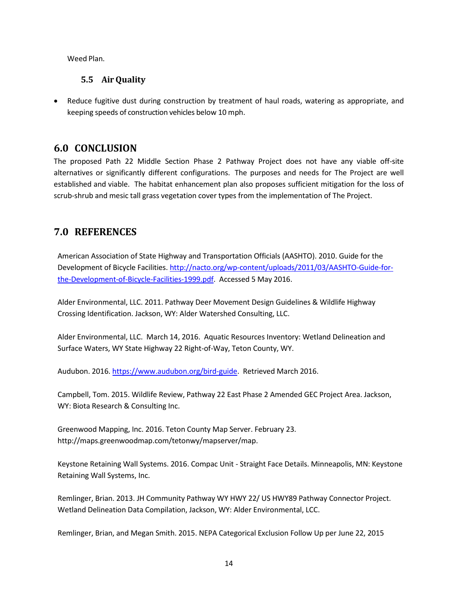<span id="page-16-0"></span>Weed Plan.

#### **5.5 AirQuality**

• Reduce fugitive dust during construction by treatment of haul roads, watering as appropriate, and keeping speeds of construction vehicles below 10 mph.

## <span id="page-16-1"></span>**6.0 CONCLUSION**

The proposed Path 22 Middle Section Phase 2 Pathway Project does not have any viable off‐site alternatives or significantly different configurations. The purposes and needs for The Project are well established and viable. The habitat enhancement plan also proposes sufficient mitigation for the loss of scrub-shrub and mesic tall grass vegetation cover types from the implementation of The Project.

# <span id="page-16-2"></span>**7.0 REFERENCES**

American Association of State Highway and Transportation Officials (AASHTO). 2010. Guide for the Development of Bicycle Facilities. [http://nacto.org/wp-content/uploads/2011/03/AASHTO-Guide-for](http://nacto.org/wp-content/uploads/2011/03/AASHTO-Guide-for-the-Development-of-Bicycle-Facilities-1999.pdf)[the-Development-of-Bicycle-Facilities-1999.pdf.](http://nacto.org/wp-content/uploads/2011/03/AASHTO-Guide-for-the-Development-of-Bicycle-Facilities-1999.pdf) Accessed 5 May 2016.

Alder Environmental, LLC. 2011. Pathway Deer Movement Design Guidelines & Wildlife Highway Crossing Identification. Jackson, WY: Alder Watershed Consulting, LLC.

Alder Environmental, LLC. March 14, 2016. Aquatic Resources Inventory: Wetland Delineation and Surface Waters, WY State Highway 22 Right-of-Way, Teton County, WY.

Audubon. 2016. [https://www.audubon.org/bird-guide.](https://www.audubon.org/bird-guide) Retrieved March 2016.

Campbell, Tom. 2015. Wildlife Review, Pathway 22 East Phase 2 Amended GEC Project Area. Jackson, WY: Biota Research & Consulting Inc.

Greenwood Mapping, Inc. 2016. Teton County Map Server. February 23. http://maps.greenwoodmap.com/tetonwy/mapserver/map.

Keystone Retaining Wall Systems. 2016. Compac Unit - Straight Face Details. Minneapolis, MN: Keystone Retaining Wall Systems, Inc.

Remlinger, Brian. 2013. JH Community Pathway WY HWY 22/ US HWY89 Pathway Connector Project. Wetland Delineation Data Compilation, Jackson, WY: Alder Environmental, LCC.

Remlinger, Brian, and Megan Smith. 2015. NEPA Categorical Exclusion Follow Up per June 22, 2015